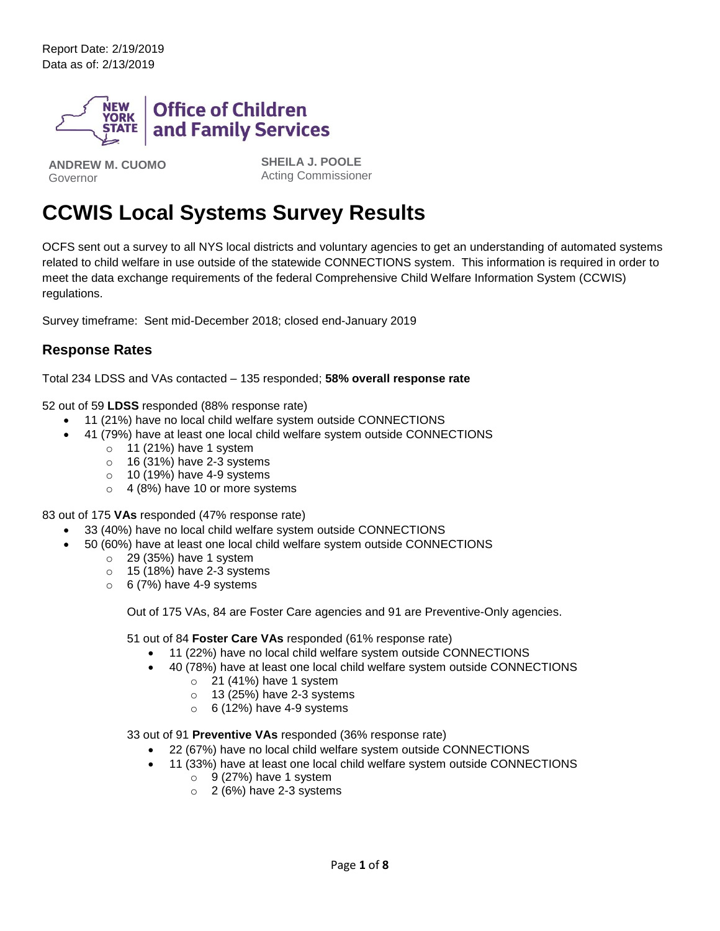Report Date: 2/19/2019 Data as of: 2/13/2019



**ANDREW M. CUOMO** Governor

**SHEILA J. POOLE** Acting Commissioner

# **CCWIS Local Systems Survey Results**

OCFS sent out a survey to all NYS local districts and voluntary agencies to get an understanding of automated systems related to child welfare in use outside of the statewide CONNECTIONS system. This information is required in order to meet the data exchange requirements of the federal Comprehensive Child Welfare Information System (CCWIS) regulations.

Survey timeframe: Sent mid-December 2018; closed end-January 2019

## **Response Rates**

Total 234 LDSS and VAs contacted – 135 responded; **58% overall response rate**

52 out of 59 **LDSS** responded (88% response rate)

- 11 (21%) have no local child welfare system outside CONNECTIONS
- 41 (79%) have at least one local child welfare system outside CONNECTIONS
	- $\circ$  11 (21%) have 1 system
	- $\circ$  16 (31%) have 2-3 systems
	- $\circ$  10 (19%) have 4-9 systems
	- o 4 (8%) have 10 or more systems

83 out of 175 **VAs** responded (47% response rate)

- 33 (40%) have no local child welfare system outside CONNECTIONS
- 50 (60%) have at least one local child welfare system outside CONNECTIONS
	- $\circ$  29 (35%) have 1 system
	- o 15 (18%) have 2-3 systems
	- $\circ$  6 (7%) have 4-9 systems

Out of 175 VAs, 84 are Foster Care agencies and 91 are Preventive-Only agencies.

51 out of 84 **Foster Care VAs** responded (61% response rate)

- 11 (22%) have no local child welfare system outside CONNECTIONS
- 40 (78%) have at least one local child welfare system outside CONNECTIONS
	- $\circ$  21 (41%) have 1 system
	- $\circ$  13 (25%) have 2-3 systems
	- $\circ$  6 (12%) have 4-9 systems

33 out of 91 **Preventive VAs** responded (36% response rate)

- 22 (67%) have no local child welfare system outside CONNECTIONS
- 11 (33%) have at least one local child welfare system outside CONNECTIONS
	- $\circ$  9 (27%) have 1 system
	- $\circ$  2 (6%) have 2-3 systems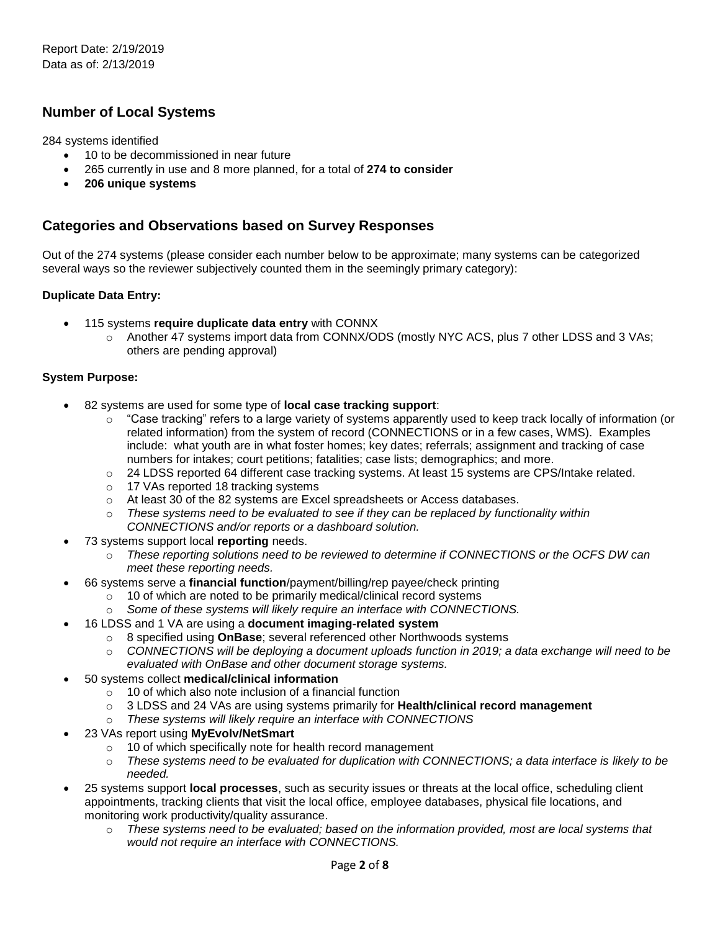# **Number of Local Systems**

284 systems identified

- 10 to be decommissioned in near future
- 265 currently in use and 8 more planned, for a total of **274 to consider**
- **206 unique systems**

## **Categories and Observations based on Survey Responses**

Out of the 274 systems (please consider each number below to be approximate; many systems can be categorized several ways so the reviewer subjectively counted them in the seemingly primary category):

#### **Duplicate Data Entry:**

- 115 systems **require duplicate data entry** with CONNX
	- o Another 47 systems import data from CONNX/ODS (mostly NYC ACS, plus 7 other LDSS and 3 VAs; others are pending approval)

#### **System Purpose:**

- 82 systems are used for some type of **local case tracking support**:
	- $\circ$  "Case tracking" refers to a large variety of systems apparently used to keep track locally of information (or related information) from the system of record (CONNECTIONS or in a few cases, WMS). Examples include: what youth are in what foster homes; key dates; referrals; assignment and tracking of case numbers for intakes; court petitions; fatalities; case lists; demographics; and more.
	- o 24 LDSS reported 64 different case tracking systems. At least 15 systems are CPS/Intake related.
	- o 17 VAs reported 18 tracking systems
	- o At least 30 of the 82 systems are Excel spreadsheets or Access databases.
	- o *These systems need to be evaluated to see if they can be replaced by functionality within CONNECTIONS and/or reports or a dashboard solution.*
- 73 systems support local **reporting** needs.
	- o *These reporting solutions need to be reviewed to determine if CONNECTIONS or the OCFS DW can meet these reporting needs.*
- 66 systems serve a **financial function**/payment/billing/rep payee/check printing
	- o 10 of which are noted to be primarily medical/clinical record systems
	- o *Some of these systems will likely require an interface with CONNECTIONS.*
- 16 LDSS and 1 VA are using a **document imaging-related system**
	- o 8 specified using **OnBase**; several referenced other Northwoods systems
	- o *CONNECTIONS will be deploying a document uploads function in 2019; a data exchange will need to be evaluated with OnBase and other document storage systems.*
- 50 systems collect **medical/clinical information**
	- $\circ$  10 of which also note inclusion of a financial function
	- o 3 LDSS and 24 VAs are using systems primarily for **Health/clinical record management**
	- o *These systems will likely require an interface with CONNECTIONS*
- 23 VAs report using **MyEvolv/NetSmart**
	- o 10 of which specifically note for health record management
	- o *These systems need to be evaluated for duplication with CONNECTIONS; a data interface is likely to be needed.*
- 25 systems support **local processes**, such as security issues or threats at the local office, scheduling client appointments, tracking clients that visit the local office, employee databases, physical file locations, and monitoring work productivity/quality assurance.
	- o *These systems need to be evaluated; based on the information provided, most are local systems that would not require an interface with CONNECTIONS.*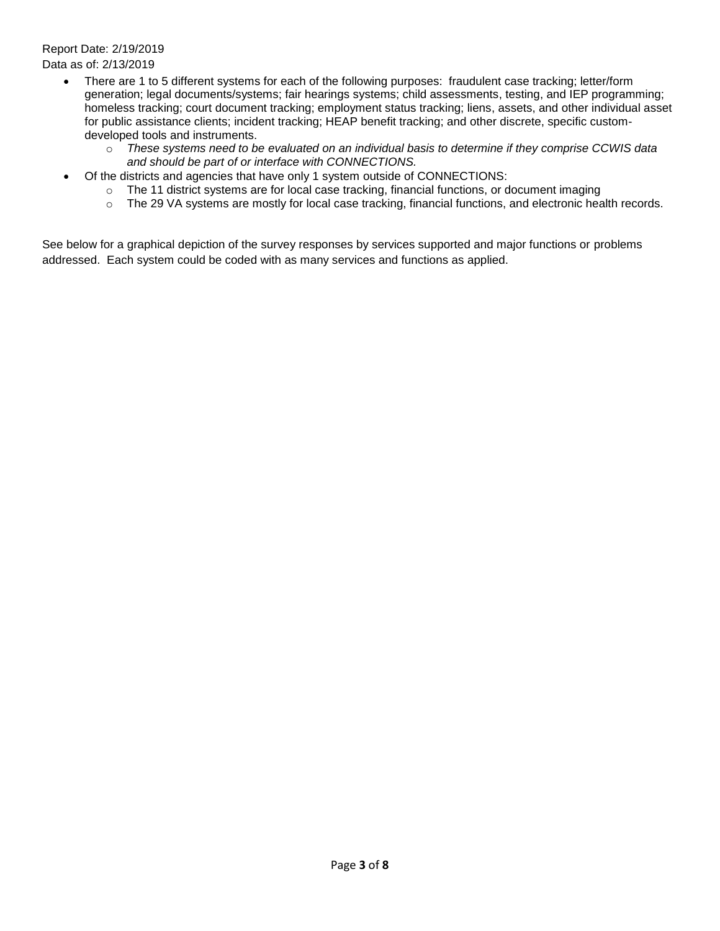## Report Date: 2/19/2019 Data as of: 2/13/2019

- There are 1 to 5 different systems for each of the following purposes: fraudulent case tracking; letter/form generation; legal documents/systems; fair hearings systems; child assessments, testing, and IEP programming; homeless tracking; court document tracking; employment status tracking; liens, assets, and other individual asset for public assistance clients; incident tracking; HEAP benefit tracking; and other discrete, specific customdeveloped tools and instruments.
	- o *These systems need to be evaluated on an individual basis to determine if they comprise CCWIS data and should be part of or interface with CONNECTIONS.*
- Of the districts and agencies that have only 1 system outside of CONNECTIONS:
	- $\circ$  The 11 district systems are for local case tracking, financial functions, or document imaging
	- o The 29 VA systems are mostly for local case tracking, financial functions, and electronic health records.

See below for a graphical depiction of the survey responses by services supported and major functions or problems addressed. Each system could be coded with as many services and functions as applied.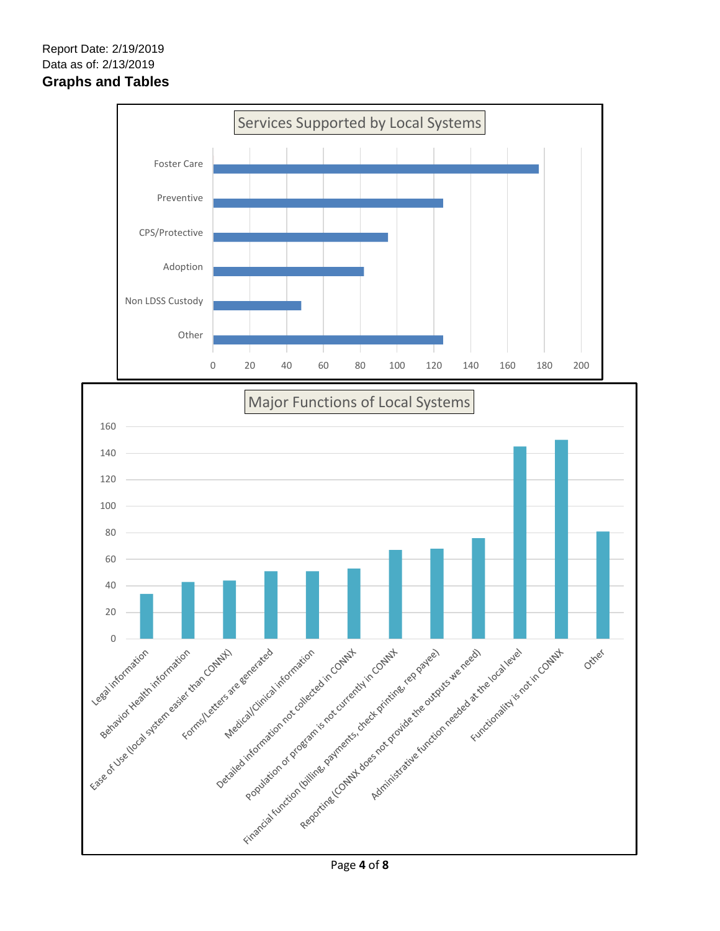

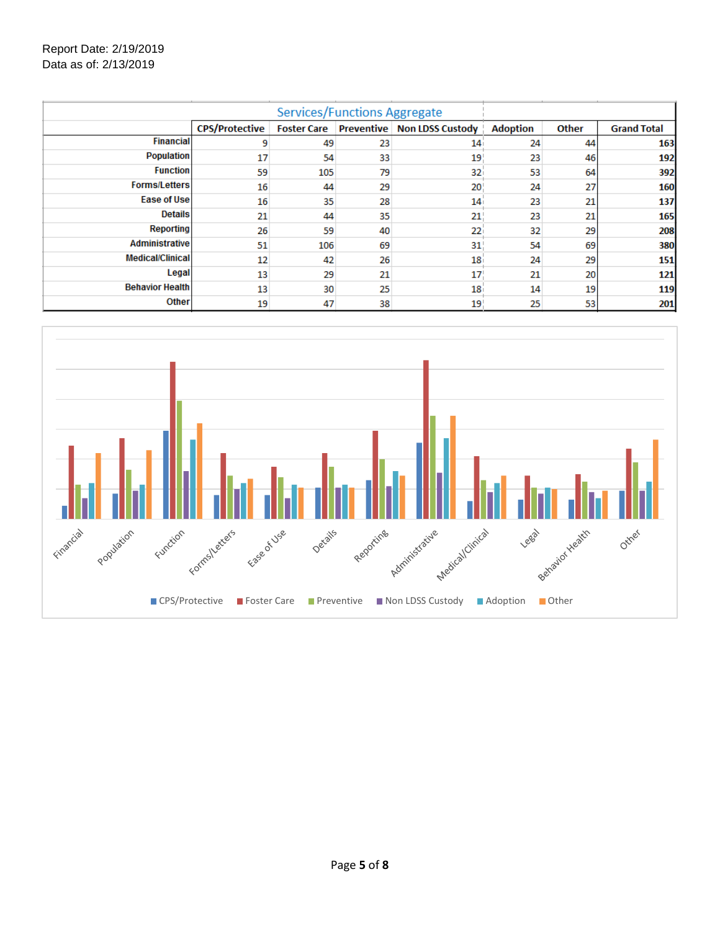## Report Date: 2/19/2019 Data as of: 2/13/2019

| <b>Services/Functions Aggregate</b> |                       |                    |    |                                      |                 |       |                    |
|-------------------------------------|-----------------------|--------------------|----|--------------------------------------|-----------------|-------|--------------------|
|                                     | <b>CPS/Protective</b> | <b>Foster Care</b> |    | <b>Preventive   Non LDSS Custody</b> | <b>Adoption</b> | Other | <b>Grand Total</b> |
| <b>Financial</b>                    | 9                     | 49                 | 23 | 14 <sub>i</sub>                      | 24              | 44    | 163                |
| <b>Population</b>                   | 17                    | 54                 | 33 | 19                                   | 23              | 46    | 192                |
| <b>Function</b>                     | 59                    | 105                | 79 | 32                                   | 53              | 64    | 392                |
| <b>Forms/Letters</b>                | 16                    | 44                 | 29 | 20                                   | 24              | 27    | 160                |
| Ease of Usel                        | 16                    | 35                 | 28 | 14                                   | 23              | 21    | 137                |
| <b>Details</b>                      | 21                    | 44                 | 35 | 21                                   | 23              | 21    | 165                |
| <b>Reporting</b>                    | 26                    | 59                 | 40 | 22                                   | 32              | 29    | 208                |
| <b>Administrative</b>               | 51                    | 106                | 69 | 31                                   | 54              | 69    | 380                |
| <b>Medical/Clinical</b>             | 12                    | 42                 | 26 | 18                                   | 24              | 29    | 151                |
| Legal                               | 13                    | 29                 | 21 | 17                                   | 21              | 20    | 121                |
| <b>Behavior Health</b>              | 13                    | 30                 | 25 | 18                                   | 14              | 19    | 119                |
| <b>Other</b>                        | 19                    | 47                 | 38 | 19                                   | 25              | 53    | 201                |

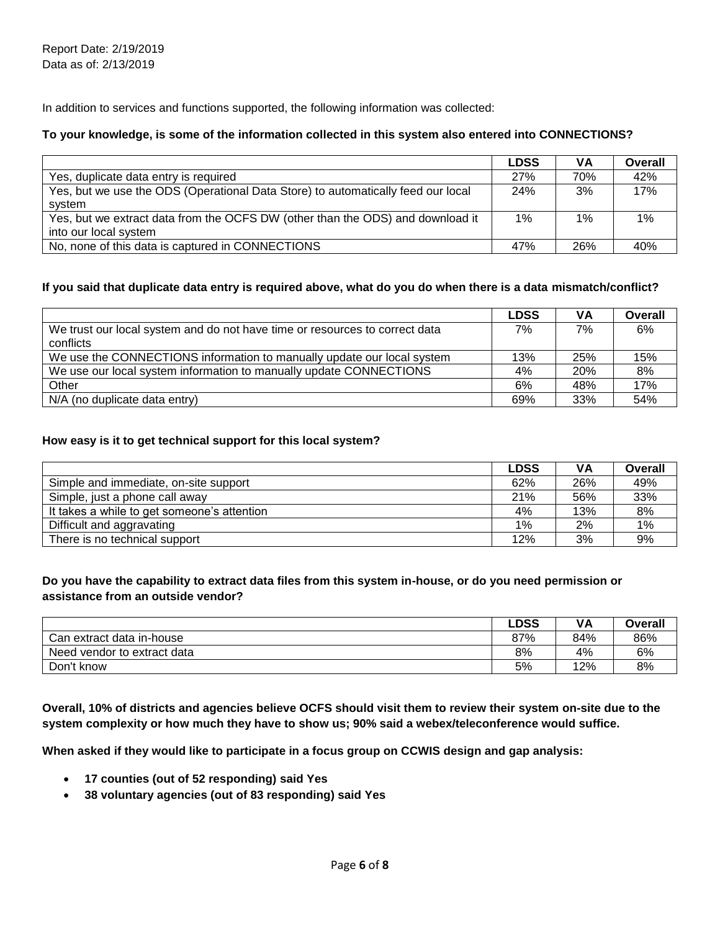In addition to services and functions supported, the following information was collected:

#### **To your knowledge, is some of the information collected in this system also entered into CONNECTIONS?**

|                                                                                  | <b>LDSS</b> | ٧A    | Overall |
|----------------------------------------------------------------------------------|-------------|-------|---------|
| Yes, duplicate data entry is required                                            | 27%         | 70%   | 42%     |
| Yes, but we use the ODS (Operational Data Store) to automatically feed our local | 24%         | 3%    | 17%     |
| svstem                                                                           |             |       |         |
| Yes, but we extract data from the OCFS DW (other than the ODS) and download it   | $1\%$       | $1\%$ | $1\%$   |
| into our local system                                                            |             |       |         |
| No, none of this data is captured in CONNECTIONS                                 | 47%         | 26%   | 40%     |

#### **If you said that duplicate data entry is required above, what do you do when there is a data mismatch/conflict?**

|                                                                             | <b>LDSS</b> | VA         | Overall |
|-----------------------------------------------------------------------------|-------------|------------|---------|
| We trust our local system and do not have time or resources to correct data | 7%          | 7%         | 6%      |
| conflicts                                                                   |             |            |         |
| We use the CONNECTIONS information to manually update our local system      | 13%         | 25%        | 15%     |
| We use our local system information to manually update CONNECTIONS          | 4%          | <b>20%</b> | 8%      |
| Other                                                                       | 6%          | 48%        | 17%     |
| N/A (no duplicate data entry)                                               | 69%         | 33%        | 54%     |

#### **How easy is it to get technical support for this local system?**

|                                             | <b>LDSS</b> | VА  | Overall |
|---------------------------------------------|-------------|-----|---------|
| Simple and immediate, on-site support       | 62%         | 26% | 49%     |
| Simple, just a phone call away              | 21%         | 56% | 33%     |
| It takes a while to get someone's attention | 4%          | 13% | 8%      |
| Difficult and aggravating                   | 1%          | 2%  | 1%      |
| There is no technical support               | 12%         | 3%  | 9%      |

### **Do you have the capability to extract data files from this system in-house, or do you need permission or assistance from an outside vendor?**

|                                | ∟DSS | VA  | Overall |
|--------------------------------|------|-----|---------|
| Can extract data in-house      | 87%  | 84% | 86%     |
| Need<br>vendor to extract data | 8%   | 4%  | 6%      |
| Don't know                     | 5%   | 12% | 8%      |

**Overall, 10% of districts and agencies believe OCFS should visit them to review their system on-site due to the system complexity or how much they have to show us; 90% said a webex/teleconference would suffice.**

**When asked if they would like to participate in a focus group on CCWIS design and gap analysis:**

- **17 counties (out of 52 responding) said Yes**
- **38 voluntary agencies (out of 83 responding) said Yes**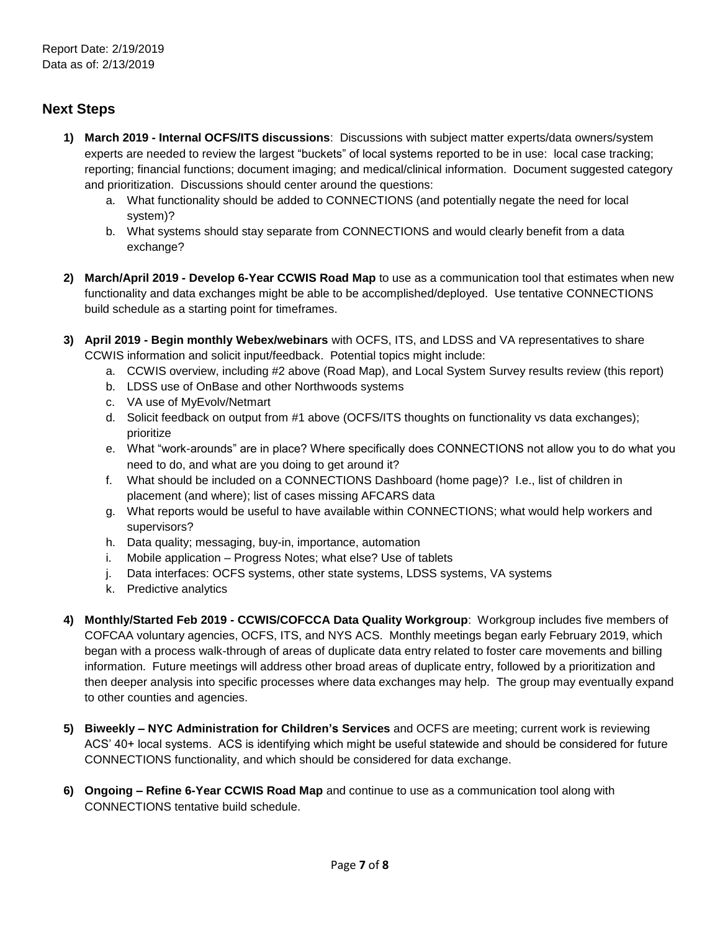# **Next Steps**

- **1) March 2019 - Internal OCFS/ITS discussions**: Discussions with subject matter experts/data owners/system experts are needed to review the largest "buckets" of local systems reported to be in use: local case tracking; reporting; financial functions; document imaging; and medical/clinical information. Document suggested category and prioritization. Discussions should center around the questions:
	- a. What functionality should be added to CONNECTIONS (and potentially negate the need for local system)?
	- b. What systems should stay separate from CONNECTIONS and would clearly benefit from a data exchange?
- **2) March/April 2019 - Develop 6-Year CCWIS Road Map** to use as a communication tool that estimates when new functionality and data exchanges might be able to be accomplished/deployed. Use tentative CONNECTIONS build schedule as a starting point for timeframes.
- **3) April 2019 - Begin monthly Webex/webinars** with OCFS, ITS, and LDSS and VA representatives to share CCWIS information and solicit input/feedback. Potential topics might include:
	- a. CCWIS overview, including #2 above (Road Map), and Local System Survey results review (this report)
	- b. LDSS use of OnBase and other Northwoods systems
	- c. VA use of MyEvolv/Netmart
	- d. Solicit feedback on output from #1 above (OCFS/ITS thoughts on functionality vs data exchanges); prioritize
	- e. What "work-arounds" are in place? Where specifically does CONNECTIONS not allow you to do what you need to do, and what are you doing to get around it?
	- f. What should be included on a CONNECTIONS Dashboard (home page)? I.e., list of children in placement (and where); list of cases missing AFCARS data
	- g. What reports would be useful to have available within CONNECTIONS; what would help workers and supervisors?
	- h. Data quality; messaging, buy-in, importance, automation
	- i. Mobile application Progress Notes; what else? Use of tablets
	- j. Data interfaces: OCFS systems, other state systems, LDSS systems, VA systems
	- k. Predictive analytics
- **4) Monthly/Started Feb 2019 - CCWIS/COFCCA Data Quality Workgroup**: Workgroup includes five members of COFCAA voluntary agencies, OCFS, ITS, and NYS ACS. Monthly meetings began early February 2019, which began with a process walk-through of areas of duplicate data entry related to foster care movements and billing information. Future meetings will address other broad areas of duplicate entry, followed by a prioritization and then deeper analysis into specific processes where data exchanges may help. The group may eventually expand to other counties and agencies.
- **5) Biweekly – NYC Administration for Children's Services** and OCFS are meeting; current work is reviewing ACS' 40+ local systems. ACS is identifying which might be useful statewide and should be considered for future CONNECTIONS functionality, and which should be considered for data exchange.
- **6) Ongoing – Refine 6-Year CCWIS Road Map** and continue to use as a communication tool along with CONNECTIONS tentative build schedule.